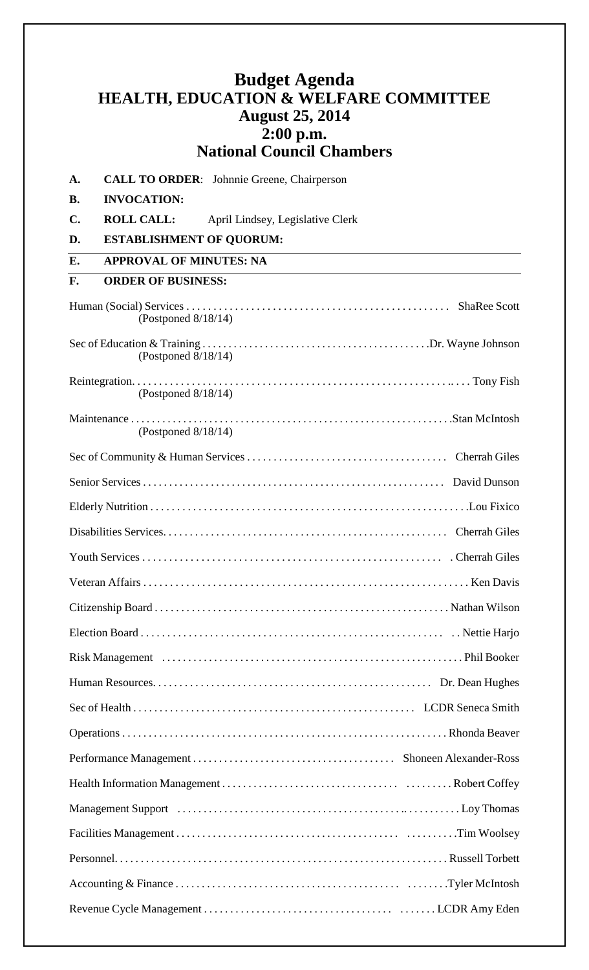## **Budget Agenda HEALTH, EDUCATION & WELFARE COMMITTEE August 25, 2014 2:00 p.m. National Council Chambers**

| A.             | <b>CALL TO ORDER:</b> Johnnie Greene, Chairperson     |  |
|----------------|-------------------------------------------------------|--|
| <b>B.</b>      | <b>INVOCATION:</b>                                    |  |
| $\mathbf{C}$ . | <b>ROLL CALL:</b><br>April Lindsey, Legislative Clerk |  |
| D.             | <b>ESTABLISHMENT OF QUORUM:</b>                       |  |
| E.             | <b>APPROVAL OF MINUTES: NA</b>                        |  |
| F.             | <b>ORDER OF BUSINESS:</b>                             |  |
|                | (Postponed $8/18/14$ )                                |  |
|                | (Postponed $8/18/14$ )                                |  |
|                | (Postponed $8/18/14$ )                                |  |
|                | (Postponed $8/18/14$ )                                |  |
|                |                                                       |  |
|                |                                                       |  |
|                |                                                       |  |
|                |                                                       |  |
|                |                                                       |  |
|                |                                                       |  |
|                |                                                       |  |
|                |                                                       |  |
|                |                                                       |  |
|                |                                                       |  |
|                |                                                       |  |
|                |                                                       |  |
|                |                                                       |  |
|                |                                                       |  |
|                |                                                       |  |
|                |                                                       |  |
|                |                                                       |  |
|                |                                                       |  |
|                |                                                       |  |